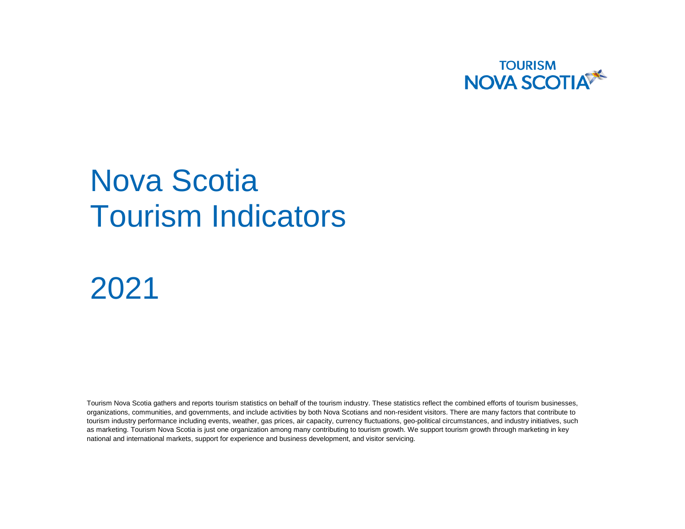

# Nova Scotia Tourism Indicators

2021

Tourism Nova Scotia gathers and reports tourism statistics on behalf of the tourism industry. These statistics reflect the combined efforts of tourism businesses, organizations, communities, and governments, and include activities by both Nova Scotians and non-resident visitors. There are many factors that contribute to tourism industry performance including events, weather, gas prices, air capacity, currency fluctuations, geo-political circumstances, and industry initiatives, such as marketing. Tourism Nova Scotia is just one organization among many contributing to tourism growth. We support tourism growth through marketing in key national and international markets, support for experience and business development, and visitor servicing.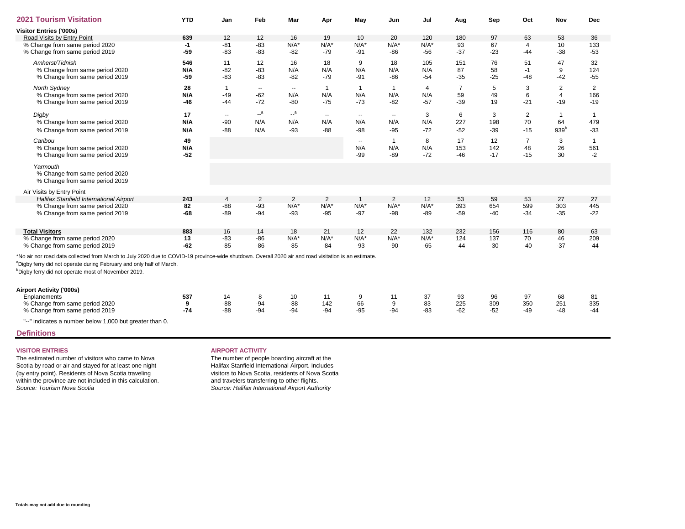| <b>2021 Tourism Visitation</b>                                                                                                                                                                                                                                                                              | <b>YTD</b> | Jan                      | Feb            | Mar            | Apr            | May          | Jun                      | Jul            | Aug   | Sep   | Oct            | Nov              | <b>Dec</b>   |
|-------------------------------------------------------------------------------------------------------------------------------------------------------------------------------------------------------------------------------------------------------------------------------------------------------------|------------|--------------------------|----------------|----------------|----------------|--------------|--------------------------|----------------|-------|-------|----------------|------------------|--------------|
| Visitor Entries ('000s)                                                                                                                                                                                                                                                                                     |            |                          |                |                |                |              |                          |                |       |       |                |                  |              |
| Road Visits by Entry Point                                                                                                                                                                                                                                                                                  | 639        | 12                       | 12             | 16             | 19             | 10           | 20                       | 120            | 180   | 97    | 63             | 53               | 36           |
| % Change from same period 2020                                                                                                                                                                                                                                                                              | $-1$       | $-81$                    | $-83$          | $N/A^*$        | $N/A*$         | $N/A^*$      | $N/A^*$                  | $N/A^*$        | 93    | 67    | $\overline{4}$ | 10               | 133          |
| % Change from same period 2019                                                                                                                                                                                                                                                                              | $-59$      | $-83$                    | $-83$          | $-82$          | $-79$          | $-91$        | $-86$                    | $-56$          | $-37$ | $-23$ | $-44$          | $-38$            | $-53$        |
| Amherst/Tidnish                                                                                                                                                                                                                                                                                             | 546        | 11                       | 12             | 16             | 18             | 9            | 18                       | 105            | 151   | 76    | 51             | 47               | 32           |
| % Change from same period 2020                                                                                                                                                                                                                                                                              | N/A        | $-82$                    | $-83$          | N/A            | N/A            | N/A          | N/A                      | N/A            | 87    | 58    | $-1$           | 9                | 124          |
| % Change from same period 2019                                                                                                                                                                                                                                                                              | $-59$      | $-83$                    | $-83$          | $-82$          | $-79$          | $-91$        | $-86$                    | $-54$          | $-35$ | $-25$ | $-48$          | $-42$            | $-55$        |
| North Sydney                                                                                                                                                                                                                                                                                                | 28         | $\mathbf{1}$             | $\sim$ $\sim$  | $\sim$         | $\overline{1}$ | $\mathbf{1}$ | $\overline{1}$           | $\overline{4}$ | 7     | 5     | 3              | 2                | 2            |
| % Change from same period 2020                                                                                                                                                                                                                                                                              | N/A        | $-49$                    | $-62$          | N/A            | N/A            | N/A          | N/A                      | N/A            | 59    | 49    | 6              | $\overline{4}$   | 166          |
| % Change from same period 2019                                                                                                                                                                                                                                                                              | $-46$      | $-44$                    | $-72$          | $-80$          | $-75$          | $-73$        | $-82$                    | $-57$          | $-39$ | 19    | $-21$          | $-19$            | $-19$        |
| Digby                                                                                                                                                                                                                                                                                                       | 17         | $\overline{\phantom{a}}$ | $-$ a          | $\mathbb{L}^a$ | $\sim$         | $\sim$       | $\overline{\phantom{a}}$ | 3              | 6     | 3     | 2              |                  | $\mathbf{1}$ |
| % Change from same period 2020                                                                                                                                                                                                                                                                              | N/A        | $-90$                    | N/A            | N/A            | N/A            | N/A          | N/A                      | N/A            | 227   | 198   | 70             | 64               | 479          |
|                                                                                                                                                                                                                                                                                                             |            |                          |                |                |                |              |                          |                |       |       |                |                  |              |
| % Change from same period 2019                                                                                                                                                                                                                                                                              | N/A        | $-88$                    | N/A            | $-93$          | $-88$          | $-98$        | $-95$                    | $-72$          | $-52$ | $-39$ | $-15$          | 939 <sup>b</sup> | $-33$        |
| Caribou                                                                                                                                                                                                                                                                                                     | 49         |                          |                |                |                | $\sim$       | $\overline{1}$           | 8              | 17    | 12    | $\overline{7}$ | 3                | $\mathbf{1}$ |
| % Change from same period 2020                                                                                                                                                                                                                                                                              | N/A        |                          |                |                |                | N/A          | N/A                      | N/A            | 153   | 142   | 48             | 26               | 561          |
| % Change from same period 2019                                                                                                                                                                                                                                                                              | $-52$      |                          |                |                |                | $-99$        | $-89$                    | $-72$          | $-46$ | $-17$ | $-15$          | 30               | $-2$         |
| Yarmouth                                                                                                                                                                                                                                                                                                    |            |                          |                |                |                |              |                          |                |       |       |                |                  |              |
| % Change from same period 2020                                                                                                                                                                                                                                                                              |            |                          |                |                |                |              |                          |                |       |       |                |                  |              |
| % Change from same period 2019                                                                                                                                                                                                                                                                              |            |                          |                |                |                |              |                          |                |       |       |                |                  |              |
| Air Visits by Entry Point                                                                                                                                                                                                                                                                                   |            |                          |                |                |                |              |                          |                |       |       |                |                  |              |
| Halifax Stanfield International Airport                                                                                                                                                                                                                                                                     | 243        | 4                        | $\overline{2}$ | 2              | 2              | $\mathbf{1}$ | $\overline{2}$           | 12             | 53    | 59    | 53             | 27               | 27           |
| % Change from same period 2020                                                                                                                                                                                                                                                                              | 82         | $-88$                    | $-93$          | $N/A^*$        | $N/A^*$        | $N/A^*$      | $N/A^*$                  | $N/A^*$        | 393   | 654   | 599            | 303              | 445          |
| % Change from same period 2019                                                                                                                                                                                                                                                                              | $-68$      | $-89$                    | $-94$          | $-93$          | $-95$          | $-97$        | $-98$                    | $-89$          | $-59$ | $-40$ | $-34$          | $-35$            | $-22$        |
|                                                                                                                                                                                                                                                                                                             |            |                          |                |                |                |              |                          |                |       |       |                |                  |              |
| <b>Total Visitors</b>                                                                                                                                                                                                                                                                                       | 883        | 16                       | 14             | 18             | 21             | 12           | 22                       | 132            | 232   | 156   | 116            | 80               | 63           |
| % Change from same period 2020                                                                                                                                                                                                                                                                              | 13         | $-83$                    | $-86$          | $N/A^*$        | $N/A^*$        | $N/A^*$      | $N/A^*$                  | $N/A^*$        | 124   | 137   | 70             | 46               | 209          |
| % Change from same period 2019                                                                                                                                                                                                                                                                              | $-62$      | $-85$                    | $-86$          | $-85$          | $-84$          | $-93$        | $-90$                    | $-65$          | $-44$ | $-30$ | $-40$          | $-37$            | $-44$        |
| *No air nor road data collected from March to July 2020 due to COVID-19 province-wide shutdown. Overall 2020 air and road visitation is an estimate.<br><sup>a</sup> Digby ferry did not operate during February and only half of March.<br><sup>b</sup> Digby ferry did not operate most of November 2019. |            |                          |                |                |                |              |                          |                |       |       |                |                  |              |
|                                                                                                                                                                                                                                                                                                             |            |                          |                |                |                |              |                          |                |       |       |                |                  |              |
| <b>Airport Activity ('000s)</b>                                                                                                                                                                                                                                                                             |            |                          |                |                |                |              |                          |                |       |       |                |                  |              |
| Enplanements                                                                                                                                                                                                                                                                                                | 537        | 14                       | 8              | 10             | 11             | 9            | 11                       | 37             | 93    | 96    | 97             | 68               | 81           |
| % Change from same period 2020                                                                                                                                                                                                                                                                              | 9          | $-88$                    | $-94$          | $-88$          | 142            | 66           | 9                        | 83             | 225   | 309   | 350            | 251              | 335          |
| % Change from same period 2019                                                                                                                                                                                                                                                                              | $-74$      | $-88$                    | $-94$          | $-94$          | $-94$          | $-95$        | $-94$                    | $-83$          | $-62$ | $-52$ | $-49$          | $-48$            | $-44$        |

"--" indicates a number below 1,000 but greater than 0.

**Definitions**

The estimated number of visitors who came to Nova Scotia by road or air and stayed for at least one night (by entry point). Residents of Nova Scotia traveling within the province are not included in this calculation. *Source: Tourism Nova Scotia*

## **VISITOR ENTRIES AIRPORT ACTIVITY**

The number of people boarding aircraft at the Halifax Stanfield International Airport. Includes visitors to Nova Scotia, residents of Nova Scotia and travelers transferring to other flights. *Source: Halifax International Airport Authority*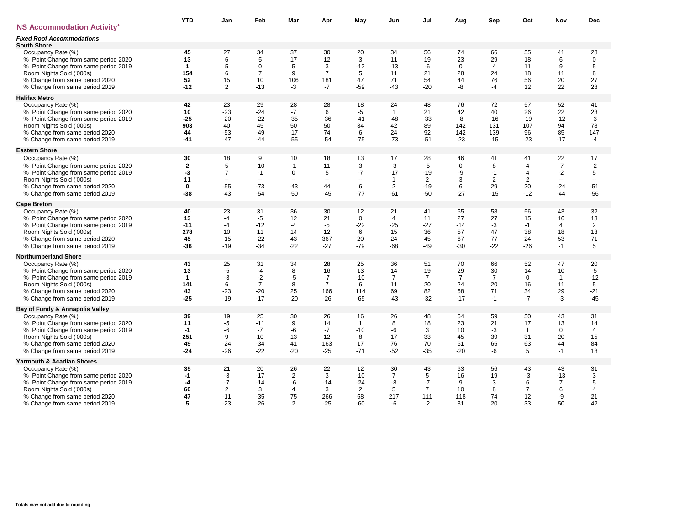|                                                                                                                                                                                                    | <b>YTD</b>                                           | Jan                                               | Feb                                                    | Mar                                                     | Apr                                                | May                                                       | Jun                                                          | Jul                                                     | Aug                                             | Sep                                            | Oct                                                        | Nov                                                              | Dec                                               |
|----------------------------------------------------------------------------------------------------------------------------------------------------------------------------------------------------|------------------------------------------------------|---------------------------------------------------|--------------------------------------------------------|---------------------------------------------------------|----------------------------------------------------|-----------------------------------------------------------|--------------------------------------------------------------|---------------------------------------------------------|-------------------------------------------------|------------------------------------------------|------------------------------------------------------------|------------------------------------------------------------------|---------------------------------------------------|
| <b>NS Accommodation Activity'</b>                                                                                                                                                                  |                                                      |                                                   |                                                        |                                                         |                                                    |                                                           |                                                              |                                                         |                                                 |                                                |                                                            |                                                                  |                                                   |
| <b>Fixed Roof Accommodations</b><br><b>South Shore</b>                                                                                                                                             |                                                      |                                                   |                                                        |                                                         |                                                    |                                                           |                                                              |                                                         |                                                 |                                                |                                                            |                                                                  |                                                   |
| Occupancy Rate (%)<br>% Point Change from same period 2020<br>% Point Change from same period 2019<br>Room Nights Sold ('000s)<br>% Change from same period 2020<br>% Change from same period 2019 | 45<br>13<br>$\mathbf{1}$<br>154<br>52<br>$-12$       | 27<br>6<br>5<br>6<br>15<br>$\overline{2}$         | 34<br>5<br>0<br>$\overline{7}$<br>10<br>$-13$          | 37<br>17<br>5<br>9<br>106<br>-3                         | 30<br>12<br>3<br>$\overline{7}$<br>181<br>$-7$     | 20<br>3<br>$-12$<br>5<br>47<br>$-59$                      | 34<br>11<br>$-13$<br>11<br>71<br>$-43$                       | 56<br>19<br>-6<br>21<br>54<br>$-20$                     | 74<br>23<br>$\Omega$<br>28<br>44<br>-8          | 66<br>29<br>$\overline{4}$<br>24<br>76<br>$-4$ | 55<br>18<br>11<br>18<br>56<br>12                           | 41<br>6<br>9<br>11<br>20<br>22                                   | 28<br>$\mathbf 0$<br>5<br>8<br>27<br>28           |
| <b>Halifax Metro</b>                                                                                                                                                                               |                                                      |                                                   |                                                        |                                                         |                                                    |                                                           |                                                              |                                                         |                                                 |                                                |                                                            |                                                                  |                                                   |
| Occupancy Rate (%)<br>% Point Change from same period 2020<br>% Point Change from same period 2019<br>Room Nights Sold ('000s)<br>% Change from same period 2020<br>% Change from same period 2019 | 42<br>10<br>$-25$<br>903<br>44<br>$-41$              | 23<br>$-23$<br>$-20$<br>40<br>$-53$<br>$-47$      | 29<br>$-24$<br>$-22$<br>45<br>$-49$<br>-44             | 28<br>$-7$<br>$-35$<br>50<br>$-17$<br>$-55$             | 28<br>6<br>$-36$<br>50<br>74<br>$-54$              | 18<br>-5<br>$-41$<br>34<br>6<br>$-75$                     | 24<br>$\mathbf{1}$<br>$-48$<br>42<br>24<br>$-73$             | 48<br>21<br>$-33$<br>89<br>92<br>$-51$                  | 76<br>42<br>-8<br>142<br>142<br>$-23$           | 72<br>40<br>$-16$<br>131<br>139<br>$-15$       | 57<br>26<br>$-19$<br>107<br>96<br>$-23$                    | 52<br>22<br>$-12$<br>94<br>85<br>$-17$                           | 41<br>23<br>$-3$<br>78<br>147<br>$-4$             |
| <b>Eastern Shore</b>                                                                                                                                                                               |                                                      |                                                   |                                                        |                                                         |                                                    |                                                           |                                                              |                                                         |                                                 |                                                |                                                            |                                                                  |                                                   |
| Occupancy Rate (%)<br>% Point Change from same period 2020<br>% Point Change from same period 2019<br>Room Nights Sold ('000s)<br>% Change from same period 2020<br>% Change from same period 2019 | 30<br>$\mathbf{2}$<br>-3<br>11<br>$\mathbf 0$<br>-38 | 18<br>5<br>$\overline{7}$<br>--<br>$-55$<br>$-43$ | 9<br>$-10$<br>$-1$<br>$\sim$<br>$-73$<br>$-54$         | 10<br>$-1$<br>0<br>--<br>$-43$<br>$-50$                 | 18<br>11<br>5<br>$\sim$<br>44<br>$-45$             | 13<br>3<br>$-7$<br>$\overline{\phantom{a}}$<br>6<br>$-77$ | 17<br>-3<br>$-17$<br>$\mathbf{1}$<br>$\overline{2}$<br>$-61$ | 28<br>$-5$<br>$-19$<br>$\overline{2}$<br>$-19$<br>$-50$ | 46<br>$\Omega$<br>-9<br>3<br>6<br>$-27$         | 41<br>8<br>$-1$<br>2<br>29<br>$-15$            | 41<br>$\overline{4}$<br>$\overline{4}$<br>2<br>20<br>$-12$ | 22<br>$-7$<br>$-2$<br>$\overline{\phantom{a}}$<br>$-24$<br>$-44$ | 17<br>$-2$<br>$\mathbf 5$<br>--<br>$-51$<br>$-56$ |
| <b>Cape Breton</b>                                                                                                                                                                                 |                                                      |                                                   |                                                        |                                                         |                                                    |                                                           |                                                              |                                                         |                                                 |                                                |                                                            |                                                                  |                                                   |
| Occupancy Rate (%)<br>% Point Change from same period 2020<br>% Point Change from same period 2019<br>Room Nights Sold ('000s)<br>% Change from same period 2020<br>% Change from same period 2019 | 40<br>13<br>$-11$<br>278<br>45<br>$-36$              | 23<br>-4<br>$-4$<br>10<br>$-15$<br>$-19$          | 31<br>$-5$<br>$-12$<br>11<br>$-22$<br>$-34$            | 36<br>12<br>$-4$<br>14<br>43<br>$-22$                   | 30<br>21<br>$-5$<br>12<br>367<br>$-27$             | 12<br>$\mathbf 0$<br>$-22$<br>6<br>20<br>$-79$            | 21<br>$\overline{4}$<br>$-25$<br>15<br>24<br>$-68$           | 41<br>11<br>$-27$<br>36<br>45<br>$-49$                  | 65<br>27<br>$-14$<br>57<br>67<br>$-30$          | 58<br>27<br>$-3$<br>47<br>77<br>$-22$          | 56<br>15<br>$-1$<br>38<br>24<br>$-26$                      | 43<br>16<br>$\overline{4}$<br>18<br>53<br>$-1$                   | 32<br>13<br>$\overline{2}$<br>13<br>71<br>5       |
| <b>Northumberland Shore</b>                                                                                                                                                                        |                                                      |                                                   |                                                        |                                                         |                                                    |                                                           |                                                              |                                                         |                                                 |                                                |                                                            |                                                                  |                                                   |
| Occupancy Rate (%)<br>% Point Change from same period 2020<br>% Point Change from same period 2019<br>Room Nights Sold ('000s)<br>% Change from same period 2020<br>% Change from same period 2019 | 43<br>13<br>$\mathbf{1}$<br>141<br>43<br>$-25$       | 25<br>-5<br>-3<br>6<br>$-23$<br>$-19$             | 31<br>$-4$<br>$-2$<br>$\overline{7}$<br>$-20$<br>$-17$ | 34<br>8<br>$-5$<br>8<br>25<br>$-20$                     | 28<br>16<br>$-7$<br>$\overline{7}$<br>166<br>$-26$ | 25<br>13<br>$-10$<br>6<br>114<br>$-65$                    | 36<br>14<br>$\overline{7}$<br>11<br>69<br>$-43$              | 51<br>19<br>$\overline{7}$<br>20<br>82<br>$-32$         | 70<br>29<br>$\overline{7}$<br>24<br>68<br>$-17$ | 66<br>30<br>$\overline{7}$<br>20<br>71<br>$-1$ | 52<br>14<br>$\Omega$<br>16<br>34<br>$-7$                   | 47<br>10<br>$\mathbf{1}$<br>11<br>29<br>-3                       | 20<br>-5<br>$-12$<br>5<br>$-21$<br>$-45$          |
| Bay of Fundy & Annapolis Valley                                                                                                                                                                    |                                                      |                                                   |                                                        |                                                         |                                                    |                                                           |                                                              |                                                         |                                                 |                                                |                                                            |                                                                  |                                                   |
| Occupancy Rate (%)<br>% Point Change from same period 2020<br>% Point Change from same period 2019<br>Room Nights Sold ('000s)<br>% Change from same period 2020<br>% Change from same period 2019 | 39<br>11<br>$-1$<br>251<br>49<br>$-24$               | 19<br>-5<br>-6<br>9<br>$-24$<br>$-26$             | 25<br>$-11$<br>$-7$<br>10<br>$-34$<br>$-22$            | 30<br>9<br>-6<br>13<br>41<br>$-20$                      | 26<br>14<br>$-7$<br>12<br>163<br>$-25$             | 16<br>$\mathbf{1}$<br>$-10$<br>8<br>17<br>$-71$           | 26<br>8<br>-6<br>17<br>76<br>$-52$                           | 48<br>18<br>3<br>33<br>70<br>$-35$                      | 64<br>23<br>10<br>45<br>61<br>$-20$             | 59<br>21<br>$-3$<br>39<br>65<br>-6             | 50<br>17<br>$\overline{1}$<br>31<br>63<br>5                | 43<br>13<br>$\mathbf 0$<br>20<br>44<br>$-1$                      | 31<br>14<br>$\overline{4}$<br>15<br>84<br>18      |
| Yarmouth & Acadian Shores                                                                                                                                                                          |                                                      |                                                   |                                                        |                                                         |                                                    |                                                           |                                                              |                                                         |                                                 |                                                |                                                            |                                                                  |                                                   |
| Occupancy Rate (%)<br>% Point Change from same period 2020<br>% Point Change from same period 2019<br>Room Nights Sold ('000s)<br>% Change from same period 2020<br>% Change from same period 2019 | 35<br>-1<br>-4<br>60<br>47<br>5                      | 21<br>-3<br>$-7$<br>2<br>$-11$<br>$-23$           | 20<br>$-17$<br>$-14$<br>3<br>$-35$<br>$-26$            | 26<br>$\overline{2}$<br>-6<br>4<br>75<br>$\overline{2}$ | 22<br>3<br>$-14$<br>3<br>266<br>$-25$              | 12<br>$-10$<br>$-24$<br>$\overline{2}$<br>58<br>$-60$     | 30<br>$\overline{7}$<br>-8<br>5<br>217<br>-6                 | 43<br>5<br>$-7$<br>$\overline{7}$<br>111<br>$-2$        | 63<br>16<br>9<br>10<br>118<br>31                | 56<br>19<br>3<br>8<br>74<br>20                 | 43<br>-3<br>6<br>$\overline{7}$<br>12<br>33                | 43<br>$-13$<br>$\overline{7}$<br>6<br>-9<br>50                   | 31<br>3<br>5<br>4<br>21<br>42                     |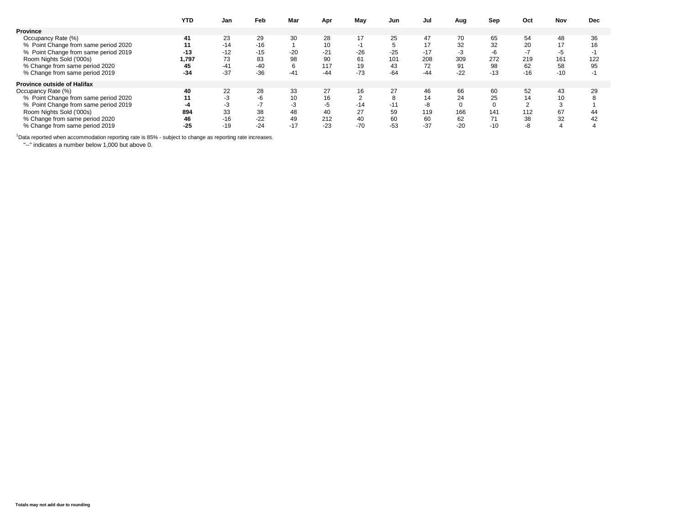|                                      | YTD   | Jan   | Feb   | Mar   | Apr   | May   | Jun   | Jul   | Aug         | Sep   | Oct   | Nov   | <b>Dec</b> |
|--------------------------------------|-------|-------|-------|-------|-------|-------|-------|-------|-------------|-------|-------|-------|------------|
| <b>Province</b>                      |       |       |       |       |       |       |       |       |             |       |       |       |            |
| Occupancy Rate (%)                   | 41    | 23    | 29    | 30    | 28    | 17    | 25    | 47    | 70          | 65    | 54    | 48    | 36         |
| % Point Change from same period 2020 |       | $-14$ | $-16$ |       | 10    | -1    |       | 17    | 32          | 32    | 20    |       | 16         |
| % Point Change from same period 2019 | $-13$ | $-12$ | $-15$ | $-20$ | $-21$ | $-26$ | $-25$ | $-17$ | $-3$        | -6    | -7    | -5    |            |
| Room Nights Sold ('000s)             | 1.797 | 73    | 83    | 98    | 90    | 61    | 101   | 208   | 309         | 272   | 219   | 161   | 122        |
| % Change from same period 2020       | 45    | $-41$ | $-40$ | 6     | 117   | 19    | 43    | 72    | 91          | 98    | 62    | 58    | 95         |
| % Change from same period 2019       | $-34$ | $-37$ | $-36$ | $-41$ | $-44$ | $-73$ | $-64$ | $-44$ | $-22$       | $-13$ | $-16$ | $-10$ | ÷          |
| <b>Province outside of Halifax</b>   |       |       |       |       |       |       |       |       |             |       |       |       |            |
| Occupancy Rate (%)                   | 40    | 22    | 28    | 33    | 27    | 16    | 27    | 46    | 66          | 60    | 52    | 43    | 29         |
| % Point Change from same period 2020 |       | -3    | -6    | 10    | 16    |       |       | 14    | 24          | 25    | 14    |       |            |
| % Point Change from same period 2019 |       | -3    |       | - 3   | -5    | $-14$ | $-11$ | -8    | $\mathbf 0$ |       |       |       |            |
| Room Nights Sold ('000s)             | 894   | 33    | 38    | 48    | 40    | 27    | 59    | 119   | 166         | 141   | 112   | 67    | 44         |
| % Change from same period 2020       | 46    | $-16$ | $-22$ | 49    | 212   | 40    | 60    | 60    | 62          | 71    | 38    | 32    | 42         |
| % Change from same period 2019       | $-25$ | $-19$ | $-24$ | $-17$ | $-23$ | $-70$ | $-53$ | $-37$ | $-20$       | $-10$ | -8    |       |            |

<sup>1</sup>Data reported when accommodation reporting rate is 85% - subject to change as reporting rate increases.

"--" indicates a number below 1,000 but above 0.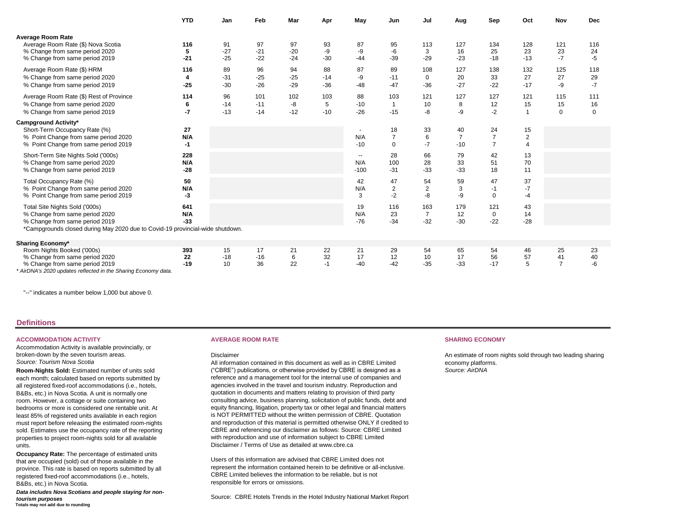|                                                                                                                                                                                     | <b>YTD</b>          | Jan                  | Feb                   | Mar                  | Apr                  | May                                       | Jun                              | Jul                            | Aug                           | Sep                                    | Oct                                    | Nov                        | <b>Dec</b>               |
|-------------------------------------------------------------------------------------------------------------------------------------------------------------------------------------|---------------------|----------------------|-----------------------|----------------------|----------------------|-------------------------------------------|----------------------------------|--------------------------------|-------------------------------|----------------------------------------|----------------------------------------|----------------------------|--------------------------|
| <b>Average Room Rate</b><br>Average Room Rate (\$) Nova Scotia<br>% Change from same period 2020<br>% Change from same period 2019                                                  | 116<br>5<br>$-21$   | 91<br>$-27$<br>$-25$ | 97<br>$-21$<br>$-22$  | 97<br>$-20$<br>$-24$ | 93<br>-9<br>$-30$    | 87<br>$-9$<br>$-44$                       | 95<br>-6<br>$-39$                | 113<br>3<br>$-29$              | 127<br>16<br>$-23$            | 134<br>25<br>$-18$                     | 128<br>23<br>$-13$                     | 121<br>23<br>$-7$          | 116<br>24<br>$-5$        |
| Average Room Rate (\$) HRM<br>% Change from same period 2020<br>% Change from same period 2019                                                                                      | 116<br>4<br>$-25$   | 89<br>$-31$<br>$-30$ | 96<br>$-25$<br>$-26$  | 94<br>$-25$<br>$-29$ | 88<br>$-14$<br>$-36$ | 87<br>-9<br>$-48$                         | 89<br>$-11$<br>$-47$             | 108<br>$\mathbf 0$<br>$-36$    | 127<br>20<br>$-27$            | 138<br>33<br>$-22$                     | 132<br>27<br>$-17$                     | 125<br>27<br>-9            | 118<br>29<br>$-7$        |
| Average Room Rate (\$) Rest of Province<br>% Change from same period 2020<br>% Change from same period 2019                                                                         | 114<br>6<br>$-7$    | 96<br>$-14$<br>$-13$ | 101<br>$-11$<br>$-14$ | 102<br>-8<br>$-12$   | 103<br>5<br>$-10$    | 88<br>$-10$<br>$-26$                      | 103<br>$\mathbf{1}$<br>$-15$     | 121<br>10<br>$-8$              | 127<br>8<br>-9                | 127<br>12<br>$-2$                      | 121<br>15<br>1                         | 115<br>15<br>$\mathbf 0$   | 111<br>16<br>$\mathbf 0$ |
| Campground Activity*<br>Short-Term Occupancy Rate (%)<br>% Point Change from same period 2020<br>% Point Change from same period 2019                                               | 27<br>N/A<br>$-1$   |                      |                       |                      |                      | $\overline{\phantom{a}}$<br>N/A<br>$-10$  | 18<br>$\overline{7}$<br>$\Omega$ | 33<br>6<br>$-7$                | 40<br>$\overline{7}$<br>$-10$ | 24<br>$\overline{7}$<br>$\overline{7}$ | 15<br>$\overline{2}$<br>$\overline{4}$ |                            |                          |
| Short-Term Site Nights Sold ('000s)<br>% Change from same period 2020<br>% Change from same period 2019                                                                             | 228<br>N/A<br>$-28$ |                      |                       |                      |                      | $\overline{\phantom{a}}$<br>N/A<br>$-100$ | 28<br>100<br>$-31$               | 66<br>28<br>$-33$              | 79<br>33<br>$-33$             | 42<br>51<br>18                         | 13<br>70<br>11                         |                            |                          |
| Total Occupancy Rate (%)<br>% Point Change from same period 2020<br>% Point Change from same period 2019                                                                            | 50<br>N/A<br>-3     |                      |                       |                      |                      | 42<br>N/A<br>3                            | 47<br>$\overline{c}$<br>$-2$     | 54<br>$\overline{2}$<br>-8     | 59<br>3<br>$-9$               | 47<br>$-1$<br>$\mathbf 0$              | 37<br>$-7$<br>-4                       |                            |                          |
| Total Site Nights Sold ('000s)<br>% Change from same period 2020<br>% Change from same period 2019<br>*Campgrounds closed during May 2020 due to Covid-19 provincial-wide shutdown. | 641<br>N/A<br>$-33$ |                      |                       |                      |                      | 19<br>N/A<br>$-76$                        | 116<br>23<br>$-34$               | 163<br>$\overline{7}$<br>$-32$ | 179<br>12<br>$-30$            | 121<br>$\mathbf 0$<br>$-22$            | 43<br>14<br>$-28$                      |                            |                          |
| <b>Sharing Economy*</b>                                                                                                                                                             |                     |                      |                       |                      |                      |                                           |                                  |                                |                               |                                        |                                        |                            |                          |
| Room Nights Booked ('000s)<br>% Change from same period 2020<br>% Change from same period 2019<br>AirDNA's 2020 updates reflected in the Sharing Economy data.                      | 393<br>22<br>$-19$  | 15<br>$-18$<br>10    | 17<br>$-16$<br>36     | 21<br>6<br>22        | 22<br>32<br>$-1$     | 21<br>17<br>$-40$                         | 29<br>12<br>$-42$                | 54<br>10<br>$-35$              | 65<br>17<br>$-33$             | 54<br>56<br>$-17$                      | 46<br>57<br>5                          | 25<br>41<br>$\overline{7}$ | 23<br>40<br>$-6$         |

"--" indicates a number below 1,000 but above 0.

# **Definitions**

# **ACCOMMODATION ACTIVITY AVERAGE ROOM RATE SHARING ECONOMY**

Accommodation Activity is available provincially, or broken-down by the seven tourism areas. *Source: Tourism Nova Scotia*

**Room-Nights Sold:** Estimated number of units sold each month; calculated based on reports submitted by all registered fixed-roof accommodations (i.e., hotels, B&Bs, etc.) in Nova Scotia. A unit is normally one room. However, a cottage or suite containing two bedrooms or more is considered one rentable unit. At least 85% of registered units available in each region must report before releasing the estimated room-nights sold. Estimates use the occupancy rate of the reporting properties to project room-nights sold for all available units.

**Occupancy Rate:** The percentage of estimated units that are occupied (sold) out of those available in the province. This rate is based on reports submitted by all registered fixed-roof accommodations (i.e., hotels, B&Bs, etc.) in Nova Scotia.

*Data includes Nova Scotians and people staying for nontourism purposes* **Totals may not add due to rounding**

### Disclaimer

All information contained in this document as well as in CBRE Limited ("CBRE") publications, or otherwise provided by CBRE is designed as a reference and a management tool for the internal use of companies and agencies involved in the travel and tourism industry. Reproduction and quotation in documents and matters relating to provision of third party consulting advice, business planning, solicitation of public funds, debt and equity financing, litigation, property tax or other legal and financial matters is NOT PERMITTED without the written permission of CBRE. Quotation and reproduction of this material is permitted otherwise ONLY if credited to CBRE and referencing our disclaimer as follows: Source: CBRE Limited with reproduction and use of information subject to CBRE Limited Disclaimer / Terms of Use as detailed at www.cbre.ca

Users of this information are advised that CBRE Limited does not represent the information contained herein to be definitive or all-inclusive. CBRE Limited believes the information to be reliable, but is not responsible for errors or omissions.

Source: CBRE Hotels Trends in the Hotel Industry National Market Report

An estimate of room nights sold through two leading sharing economy platforms. *Source: AirDNA*